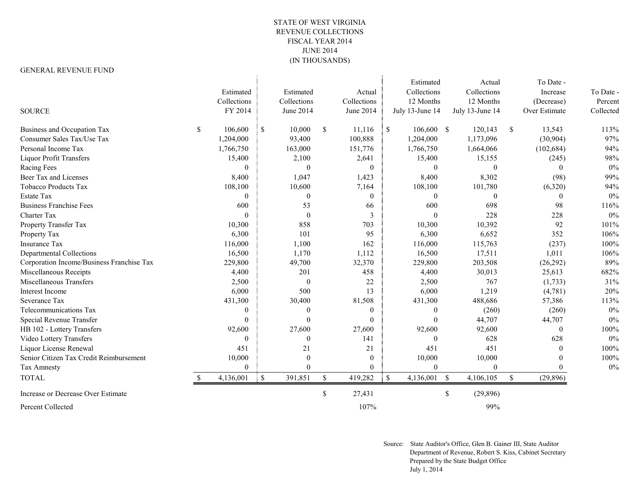## STATE OF WEST VIRGINIA REVENUE COLLECTIONS FISCAL YEAR 2014 JUNE 2014 (IN THOUSANDS)

## GENERAL REVENUE FUND

|                                           |                  |           |              |               |               |                | Estimated       |               | Actual          |               | To Date -     |           |
|-------------------------------------------|------------------|-----------|--------------|---------------|---------------|----------------|-----------------|---------------|-----------------|---------------|---------------|-----------|
|                                           | Estimated        |           | Estimated    |               | Actual        |                | Collections     |               | Collections     |               | Increase      | To Date - |
|                                           | Collections      |           | Collections  |               | Collections   |                | 12 Months       |               | 12 Months       |               | (Decrease)    | Percent   |
| <b>SOURCE</b>                             | FY 2014          |           | June 2014    |               | June 2014     |                | July 13-June 14 |               | July 13-June 14 |               | Over Estimate | Collected |
| Business and Occupation Tax               | \$<br>106,600    | -S        | 10,000       | <sup>\$</sup> | 11,116        | $\mathbf{S}$   | $106,600$ \$    |               | 120,143         | <sup>\$</sup> | 13,543        | 113%      |
| Consumer Sales Tax/Use Tax                | 1,204,000        |           | 93,400       |               | 100,888       |                | 1,204,000       |               | 1,173,096       |               | (30,904)      | 97%       |
| Personal Income Tax                       | 1,766,750        |           | 163,000      |               | 151,776       |                | 1,766,750       |               | 1,664,066       |               | (102, 684)    | 94%       |
| <b>Liquor Profit Transfers</b>            | 15,400           |           | 2,100        |               | 2,641         |                | 15,400          |               | 15,155          |               | (245)         | 98%       |
| Racing Fees                               | $\mathbf{0}$     |           | $\theta$     |               | $\theta$      |                | $\Omega$        |               | $\theta$        |               | $\theta$      | $0\%$     |
| Beer Tax and Licenses                     | 8,400            |           | 1,047        |               | 1,423         |                | 8,400           |               | 8,302           |               | (98)          | 99%       |
| <b>Tobacco Products Tax</b>               | 108,100          |           | 10,600       |               | 7,164         |                | 108,100         |               | 101,780         |               | (6,320)       | 94%       |
| <b>Estate Tax</b>                         | $\theta$         |           | $\Omega$     |               | $\Omega$      |                | $\Omega$        |               | $\Omega$        |               | $\theta$      | 0%        |
| <b>Business Franchise Fees</b>            | 600              |           | 53           |               | 66            |                | 600             |               | 698             |               | 98            | 116%      |
| <b>Charter Tax</b>                        | $\Omega$         |           | $\Omega$     |               | $\mathcal{F}$ |                | $\Omega$        |               | 228             |               | 228           | 0%        |
| Property Transfer Tax                     | 10,300           |           | 858          |               | 703           |                | 10,300          |               | 10,392          |               | 92            | 101%      |
| Property Tax                              | 6,300            |           | 101          |               | 95            |                | 6,300           |               | 6,652           |               | 352           | 106%      |
| <b>Insurance Tax</b>                      | 116,000          |           | 1,100        |               | 162           |                | 116,000         |               | 115,763         |               | (237)         | 100%      |
| <b>Departmental Collections</b>           | 16,500           |           | 1,170        |               | 1,112         |                | 16,500          |               | 17,511          |               | 1,011         | 106%      |
| Corporation Income/Business Franchise Tax | 229,800          |           | 49,700       |               | 32,370        |                | 229,800         |               | 203,508         |               | (26, 292)     | 89%       |
| Miscellaneous Receipts                    | 4,400            |           | 201          |               | 458           |                | 4,400           |               | 30,013          |               | 25,613        | 682%      |
| Miscellaneous Transfers                   | 2,500            |           | $\theta$     |               | 22            |                | 2,500           |               | 767             |               | (1,733)       | 31%       |
| Interest Income                           | 6,000            |           | 500          |               | 13            |                | 6,000           |               | 1,219           |               | (4,781)       | 20%       |
| Severance Tax                             | 431,300          |           | 30,400       |               | 81,508        |                | 431,300         |               | 488,686         |               | 57,386        | 113%      |
| Telecommunications Tax                    | $\boldsymbol{0}$ |           | $\mathbf{0}$ |               | $\theta$      |                | $\theta$        |               | (260)           |               | (260)         | 0%        |
| Special Revenue Transfer                  | $\theta$         |           | $\Omega$     |               | $\Omega$      |                | $\Omega$        |               | 44,707          |               | 44,707        | $0\%$     |
| HB 102 - Lottery Transfers                | 92,600           |           | 27,600       |               | 27,600        |                | 92,600          |               | 92,600          |               | $\theta$      | 100%      |
| Video Lottery Transfers                   | $\Omega$         |           | 0            |               | 141           |                | $\Omega$        |               | 628             |               | 628           | $0\%$     |
| Liquor License Renewal                    | 451              |           | 21           |               | 21            |                | 451             |               | 451             |               | $\theta$      | 100%      |
| Senior Citizen Tax Credit Reimbursement   | 10,000           |           | $\theta$     |               | $\mathbf{0}$  |                | 10,000          |               | 10,000          |               | $\Omega$      | 100%      |
| Tax Amnesty                               | $\overline{0}$   |           | 0            |               | $\Omega$      |                | $\Omega$        |               | $\mathbf{0}$    |               | 0             | $0\%$     |
| <b>TOTAL</b>                              | 4,136,001        | $\cdot$ S | 391,851      | <sup>\$</sup> | 419,282       | $\blacksquare$ | 4,136,001       | <sup>S</sup>  | 4,106,105       | $\mathbb{S}$  | (29, 896)     |           |
| Increase or Decrease Over Estimate        |                  |           |              | \$            | 27,431        |                |                 | <sup>\$</sup> | (29, 896)       |               |               |           |
| Percent Collected                         |                  |           |              |               | 107%          |                |                 |               | 99%             |               |               |           |

Source: State Auditor's Office, Glen B. Gainer III, State Auditor Department of Revenue, Robert S. Kiss, Cabinet Secretary Prepared by the State Budget Office July 1, 2014